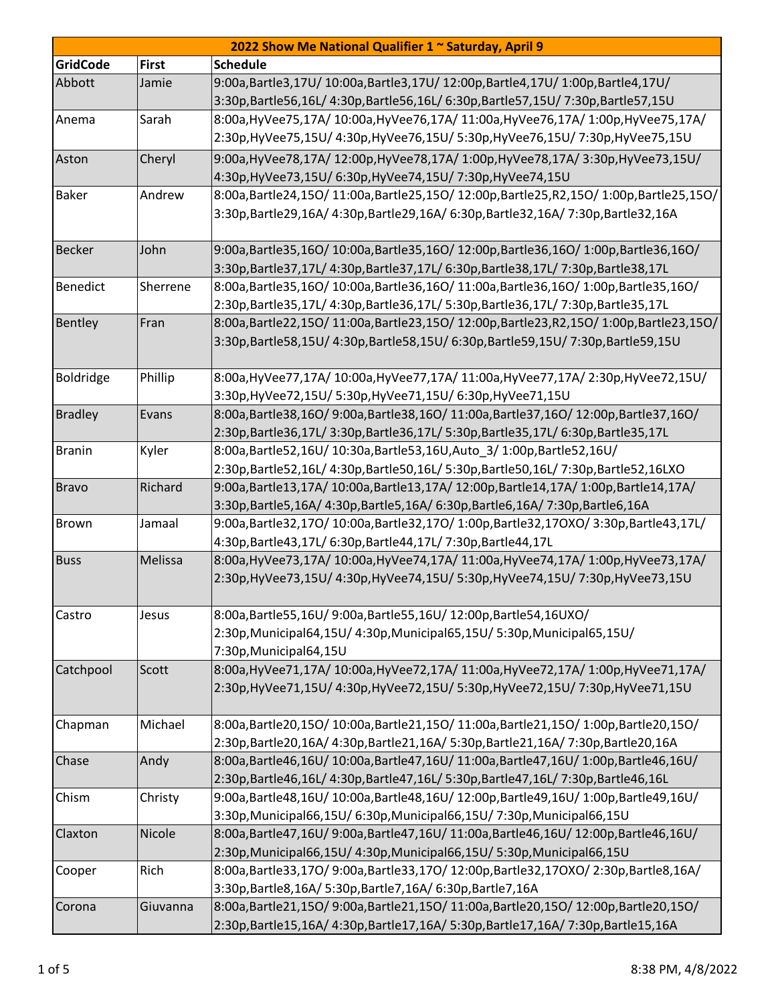| 2022 Show Me National Qualifier 1 ~ Saturday, April 9 |              |                                                                                       |  |  |
|-------------------------------------------------------|--------------|---------------------------------------------------------------------------------------|--|--|
| <b>GridCode</b>                                       | <b>First</b> | <b>Schedule</b>                                                                       |  |  |
| Abbott                                                | Jamie        | 9:00a,Bartle3,17U/10:00a,Bartle3,17U/12:00p,Bartle4,17U/1:00p,Bartle4,17U/            |  |  |
|                                                       |              | 3:30p,Bartle56,16L/ 4:30p,Bartle56,16L/ 6:30p,Bartle57,15U/ 7:30p,Bartle57,15U        |  |  |
| Anema                                                 | Sarah        | 8:00a, HyVee75,17A/ 10:00a, HyVee76,17A/ 11:00a, HyVee76,17A/ 1:00p, HyVee75,17A/     |  |  |
|                                                       |              | 2:30p,HyVee75,15U/ 4:30p,HyVee76,15U/ 5:30p,HyVee76,15U/ 7:30p,HyVee75,15U            |  |  |
| Aston                                                 | Cheryl       | 9:00a, HyVee78,17A/ 12:00p, HyVee78,17A/ 1:00p, HyVee78,17A/ 3:30p, HyVee73,15U/      |  |  |
|                                                       |              | 4:30p, HyVee 73, 15U/ 6:30p, HyVee 74, 15U/ 7:30p, HyVee 74, 15U                      |  |  |
| <b>Baker</b>                                          | Andrew       | 8:00a,Bartle24,15O/11:00a,Bartle25,15O/12:00p,Bartle25,R2,15O/1:00p,Bartle25,15O/     |  |  |
|                                                       |              | 3:30p,Bartle29,16A/ 4:30p,Bartle29,16A/ 6:30p,Bartle32,16A/ 7:30p,Bartle32,16A        |  |  |
|                                                       |              |                                                                                       |  |  |
| <b>Becker</b>                                         | John         | 9:00a,Bartle35,16O/10:00a,Bartle35,16O/12:00p,Bartle36,16O/1:00p,Bartle36,16O/        |  |  |
|                                                       |              | 3:30p,Bartle37,17L/ 4:30p,Bartle37,17L/ 6:30p,Bartle38,17L/ 7:30p,Bartle38,17L        |  |  |
| Benedict                                              | Sherrene     | 8:00a,Bartle35,16O/ 10:00a,Bartle36,16O/ 11:00a,Bartle36,16O/ 1:00p,Bartle35,16O/     |  |  |
|                                                       |              | 2:30p,Bartle35,17L/ 4:30p,Bartle36,17L/ 5:30p,Bartle36,17L/ 7:30p,Bartle35,17L        |  |  |
| Bentley                                               | Fran         | 8:00a,Bartle22,15O/11:00a,Bartle23,15O/12:00p,Bartle23,R2,15O/1:00p,Bartle23,15O/     |  |  |
|                                                       |              | 3:30p,Bartle58,15U/ 4:30p,Bartle58,15U/ 6:30p,Bartle59,15U/ 7:30p,Bartle59,15U        |  |  |
|                                                       |              |                                                                                       |  |  |
| Boldridge                                             | Phillip      | 8:00a, HyVee77, 17A/ 10:00a, HyVee77, 17A/ 11:00a, HyVee77, 17A/ 2:30p, HyVee72, 15U/ |  |  |
|                                                       |              | 3:30p, HyVee72, 15U/ 5:30p, HyVee71, 15U/ 6:30p, HyVee71, 15U                         |  |  |
| <b>Bradley</b>                                        | Evans        | 8:00a,Bartle38,16O/9:00a,Bartle38,16O/11:00a,Bartle37,16O/12:00p,Bartle37,16O/        |  |  |
|                                                       |              | 2:30p,Bartle36,17L/3:30p,Bartle36,17L/5:30p,Bartle35,17L/6:30p,Bartle35,17L           |  |  |
| <b>Branin</b>                                         | Kyler        | 8:00a, Bartle52, 16U/ 10:30a, Bartle53, 16U, Auto_3/ 1:00p, Bartle52, 16U/            |  |  |
|                                                       |              | 2:30p,Bartle52,16L/4:30p,Bartle50,16L/5:30p,Bartle50,16L/7:30p,Bartle52,16LXO         |  |  |
| <b>Bravo</b>                                          | Richard      | 9:00a,Bartle13,17A/10:00a,Bartle13,17A/12:00p,Bartle14,17A/1:00p,Bartle14,17A/        |  |  |
|                                                       |              | 3:30p,Bartle5,16A/ 4:30p,Bartle5,16A/ 6:30p,Bartle6,16A/ 7:30p,Bartle6,16A            |  |  |
| <b>Brown</b>                                          | Jamaal       | 9:00a,Bartle32,17O/10:00a,Bartle32,17O/1:00p,Bartle32,17OXO/3:30p,Bartle43,17L/       |  |  |
|                                                       |              | 4:30p,Bartle43,17L/ 6:30p,Bartle44,17L/ 7:30p,Bartle44,17L                            |  |  |
| <b>Buss</b>                                           | Melissa      | 8:00a, HyVee73,17A/ 10:00a, HyVee74,17A/ 11:00a, HyVee74,17A/ 1:00p, HyVee73,17A/     |  |  |
|                                                       |              | 2:30p,HyVee73,15U/ 4:30p,HyVee74,15U/ 5:30p,HyVee74,15U/ 7:30p,HyVee73,15U            |  |  |
| Castro                                                | Jesus        | 8:00a, Bartle55, 16U/ 9:00a, Bartle55, 16U/ 12:00p, Bartle54, 16UXO/                  |  |  |
|                                                       |              | 2:30p, Municipal64, 15U/4:30p, Municipal65, 15U/5:30p, Municipal65, 15U/              |  |  |
|                                                       |              | 7:30p, Municipal64, 15U                                                               |  |  |
| Catchpool                                             | Scott        | 8:00a, HyVee71,17A/ 10:00a, HyVee72,17A/ 11:00a, HyVee72,17A/ 1:00p, HyVee71,17A/     |  |  |
|                                                       |              | 2:30p,HyVee71,15U/ 4:30p,HyVee72,15U/ 5:30p,HyVee72,15U/ 7:30p,HyVee71,15U            |  |  |
|                                                       |              |                                                                                       |  |  |
| Chapman                                               | Michael      | 8:00a,Bartle20,15O/10:00a,Bartle21,15O/11:00a,Bartle21,15O/1:00p,Bartle20,15O/        |  |  |
|                                                       |              | 2:30p,Bartle20,16A/4:30p,Bartle21,16A/5:30p,Bartle21,16A/7:30p,Bartle20,16A           |  |  |
| Chase                                                 | Andy         | 8:00a,Bartle46,16U/10:00a,Bartle47,16U/11:00a,Bartle47,16U/1:00p,Bartle46,16U/        |  |  |
|                                                       |              | 2:30p,Bartle46,16L/4:30p,Bartle47,16L/5:30p,Bartle47,16L/7:30p,Bartle46,16L           |  |  |
| Chism                                                 | Christy      | 9:00a,Bartle48,16U/10:00a,Bartle48,16U/12:00p,Bartle49,16U/1:00p,Bartle49,16U/        |  |  |
|                                                       |              | 3:30p, Municipal66, 15U/6:30p, Municipal66, 15U/7:30p, Municipal66, 15U               |  |  |
| Claxton                                               | Nicole       | 8:00a,Bartle47,16U/9:00a,Bartle47,16U/11:00a,Bartle46,16U/12:00p,Bartle46,16U/        |  |  |
|                                                       |              | 2:30p, Municipal66, 15U/ 4:30p, Municipal66, 15U/ 5:30p, Municipal66, 15U             |  |  |
| Cooper                                                | Rich         | 8:00a,Bartle33,17O/9:00a,Bartle33,17O/12:00p,Bartle32,17OXO/2:30p,Bartle8,16A/        |  |  |
|                                                       |              | 3:30p, Bartle 8, 16A / 5:30p, Bartle 7, 16A / 6:30p, Bartle 7, 16A                    |  |  |
| Corona                                                | Giuvanna     | 8:00a,Bartle21,15O/9:00a,Bartle21,15O/11:00a,Bartle20,15O/12:00p,Bartle20,15O/        |  |  |
|                                                       |              | 2:30p,Bartle15,16A/ 4:30p,Bartle17,16A/ 5:30p,Bartle17,16A/ 7:30p,Bartle15,16A        |  |  |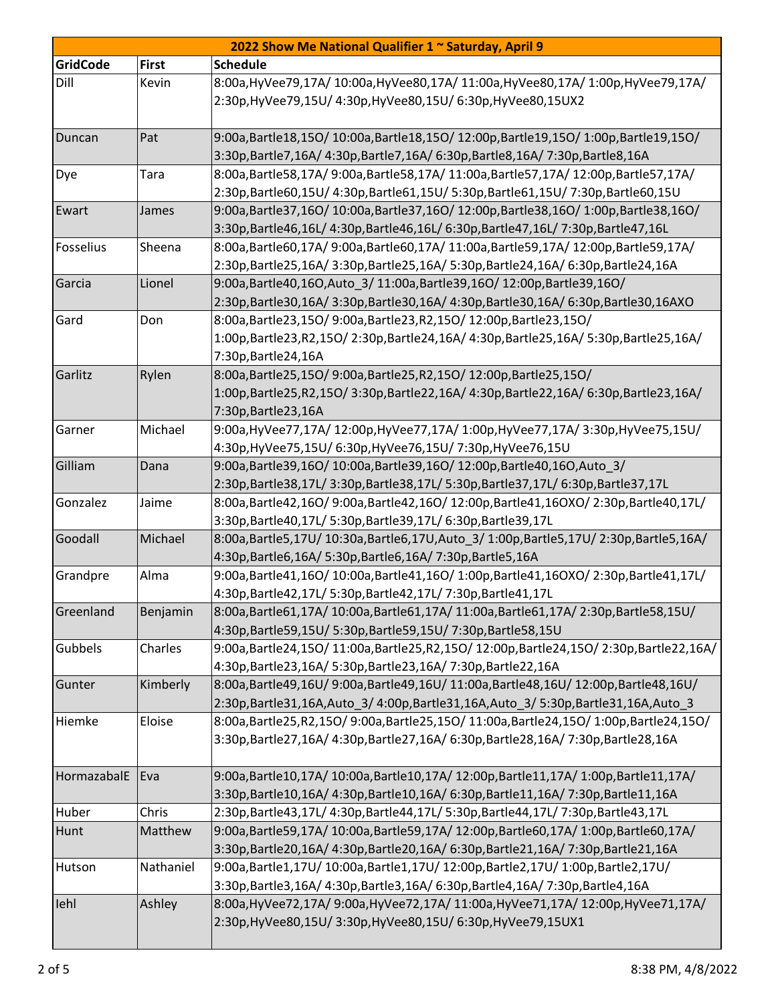|                 |              | 2022 Show Me National Qualifier 1 ~ Saturday, April 9                                                                                                       |
|-----------------|--------------|-------------------------------------------------------------------------------------------------------------------------------------------------------------|
| <b>GridCode</b> | <b>First</b> | <b>Schedule</b>                                                                                                                                             |
| Dill            | Kevin        | 8:00a, HyVee79,17A/ 10:00a, HyVee80,17A/ 11:00a, HyVee80,17A/ 1:00p, HyVee79,17A/                                                                           |
|                 |              | 2:30p, HyVee 79, 15U/ 4:30p, HyVee 80, 15U/ 6:30p, HyVee 80, 15UX2                                                                                          |
|                 |              |                                                                                                                                                             |
| Duncan          | Pat          | 9:00a,Bartle18,15O/10:00a,Bartle18,15O/12:00p,Bartle19,15O/1:00p,Bartle19,15O/                                                                              |
|                 |              | 3:30p,Bartle7,16A/ 4:30p,Bartle7,16A/ 6:30p,Bartle8,16A/ 7:30p,Bartle8,16A                                                                                  |
| Dye             | Tara         | 8:00a,Bartle58,17A/ 9:00a,Bartle58,17A/ 11:00a,Bartle57,17A/ 12:00p,Bartle57,17A/                                                                           |
|                 |              | 2:30p,Bartle60,15U/4:30p,Bartle61,15U/5:30p,Bartle61,15U/7:30p,Bartle60,15U                                                                                 |
| Ewart           | James        | 9:00a,Bartle37,16O/10:00a,Bartle37,16O/12:00p,Bartle38,16O/1:00p,Bartle38,16O/                                                                              |
|                 |              | 3:30p,Bartle46,16L/4:30p,Bartle46,16L/6:30p,Bartle47,16L/7:30p,Bartle47,16L                                                                                 |
| Fosselius       | Sheena       | 8:00a,Bartle60,17A/9:00a,Bartle60,17A/11:00a,Bartle59,17A/12:00p,Bartle59,17A/                                                                              |
|                 |              | 2:30p,Bartle25,16A/3:30p,Bartle25,16A/5:30p,Bartle24,16A/6:30p,Bartle24,16A                                                                                 |
| Garcia          | Lionel       | 9:00a, Bartle40, 16O, Auto 3/11:00a, Bartle39, 16O/12:00p, Bartle39, 16O/                                                                                   |
|                 |              | 2:30p,Bartle30,16A/3:30p,Bartle30,16A/4:30p,Bartle30,16A/6:30p,Bartle30,16AXO                                                                               |
| Gard            | Don          | 8:00a, Bartle23, 150/9:00a, Bartle23, R2, 150/12:00p, Bartle23, 150/                                                                                        |
|                 |              | 1:00p,Bartle23,R2,15O/2:30p,Bartle24,16A/4:30p,Bartle25,16A/5:30p,Bartle25,16A/                                                                             |
|                 |              | 7:30p, Bartle 24, 16A                                                                                                                                       |
| Garlitz         | Rylen        | 8:00a, Bartle25, 150/9:00a, Bartle25, R2, 150/12:00p, Bartle25, 150/                                                                                        |
|                 |              | 1:00p,Bartle25,R2,15O/3:30p,Bartle22,16A/4:30p,Bartle22,16A/6:30p,Bartle23,16A/                                                                             |
|                 |              | 7:30p, Bartle 23, 16A                                                                                                                                       |
| Garner          | Michael      | 9:00a, HyVee77, 17A/ 12:00p, HyVee77, 17A/ 1:00p, HyVee77, 17A/ 3:30p, HyVee75, 15U/                                                                        |
| Gilliam         |              | 4:30p, HyVee75, 15U/ 6:30p, HyVee76, 15U/ 7:30p, HyVee76, 15U                                                                                               |
|                 | Dana         | 9:00a, Bartle 39, 160/10:00a, Bartle 39, 160/12:00p, Bartle 40, 160, Auto 3/<br>2:30p,Bartle38,17L/3:30p,Bartle38,17L/5:30p,Bartle37,17L/6:30p,Bartle37,17L |
| Gonzalez        | Jaime        | 8:00a,Bartle42,16O/9:00a,Bartle42,16O/12:00p,Bartle41,16OXO/2:30p,Bartle40,17L/                                                                             |
|                 |              | 3:30p,Bartle40,17L/ 5:30p,Bartle39,17L/ 6:30p,Bartle39,17L                                                                                                  |
| Goodall         | Michael      | 8:00a,Bartle5,17U/ 10:30a,Bartle6,17U,Auto 3/ 1:00p,Bartle5,17U/ 2:30p,Bartle5,16A/                                                                         |
|                 |              | 4:30p,Bartle6,16A/ 5:30p,Bartle6,16A/ 7:30p,Bartle5,16A                                                                                                     |
| Grandpre        | Alma         | 9:00a,Bartle41,16O/10:00a,Bartle41,16O/1:00p,Bartle41,16OXO/2:30p,Bartle41,17L/                                                                             |
|                 |              | 4:30p,Bartle42,17L/ 5:30p,Bartle42,17L/ 7:30p,Bartle41,17L                                                                                                  |
| Greenland       | Benjamin     | 8:00a,Bartle61,17A/10:00a,Bartle61,17A/11:00a,Bartle61,17A/2:30p,Bartle58,15U/                                                                              |
|                 |              | 4:30p,Bartle59,15U/ 5:30p,Bartle59,15U/ 7:30p,Bartle58,15U                                                                                                  |
| Gubbels         | Charles      | 9:00a,Bartle24,15O/11:00a,Bartle25,R2,15O/12:00p,Bartle24,15O/2:30p,Bartle22,16A/                                                                           |
|                 |              | 4:30p,Bartle23,16A/ 5:30p,Bartle23,16A/ 7:30p,Bartle22,16A                                                                                                  |
| Gunter          | Kimberly     | 8:00a,Bartle49,16U/9:00a,Bartle49,16U/11:00a,Bartle48,16U/12:00p,Bartle48,16U/                                                                              |
|                 |              | 2:30p,Bartle31,16A,Auto 3/4:00p,Bartle31,16A,Auto 3/5:30p,Bartle31,16A,Auto 3                                                                               |
| Hiemke          | Eloise       | 8:00a,Bartle25,R2,15O/9:00a,Bartle25,15O/11:00a,Bartle24,15O/1:00p,Bartle24,15O/                                                                            |
|                 |              | 3:30p,Bartle27,16A/ 4:30p,Bartle27,16A/ 6:30p,Bartle28,16A/ 7:30p,Bartle28,16A                                                                              |
|                 |              |                                                                                                                                                             |
| HormazabalE     | Eva          | 9:00a,Bartle10,17A/10:00a,Bartle10,17A/12:00p,Bartle11,17A/1:00p,Bartle11,17A/                                                                              |
|                 |              | 3:30p,Bartle10,16A/ 4:30p,Bartle10,16A/ 6:30p,Bartle11,16A/ 7:30p,Bartle11,16A                                                                              |
| Huber           | Chris        | 2:30p,Bartle43,17L/4:30p,Bartle44,17L/5:30p,Bartle44,17L/7:30p,Bartle43,17L                                                                                 |
| Hunt            | Matthew      | 9:00a,Bartle59,17A/ 10:00a,Bartle59,17A/ 12:00p,Bartle60,17A/ 1:00p,Bartle60,17A/                                                                           |
|                 |              | 3:30p,Bartle20,16A/ 4:30p,Bartle20,16A/ 6:30p,Bartle21,16A/ 7:30p,Bartle21,16A                                                                              |
| Hutson          | Nathaniel    | 9:00a,Bartle1,17U/10:00a,Bartle1,17U/12:00p,Bartle2,17U/1:00p,Bartle2,17U/                                                                                  |
|                 |              | 3:30p,Bartle3,16A/ 4:30p,Bartle3,16A/ 6:30p,Bartle4,16A/ 7:30p,Bartle4,16A                                                                                  |
| lehl            | Ashley       | 8:00a, HyVee72,17A/ 9:00a, HyVee72,17A/ 11:00a, HyVee71,17A/ 12:00p, HyVee71,17A/                                                                           |
|                 |              | 2:30p, HyVee80, 15U/ 3:30p, HyVee80, 15U/ 6:30p, HyVee79, 15UX1                                                                                             |
|                 |              |                                                                                                                                                             |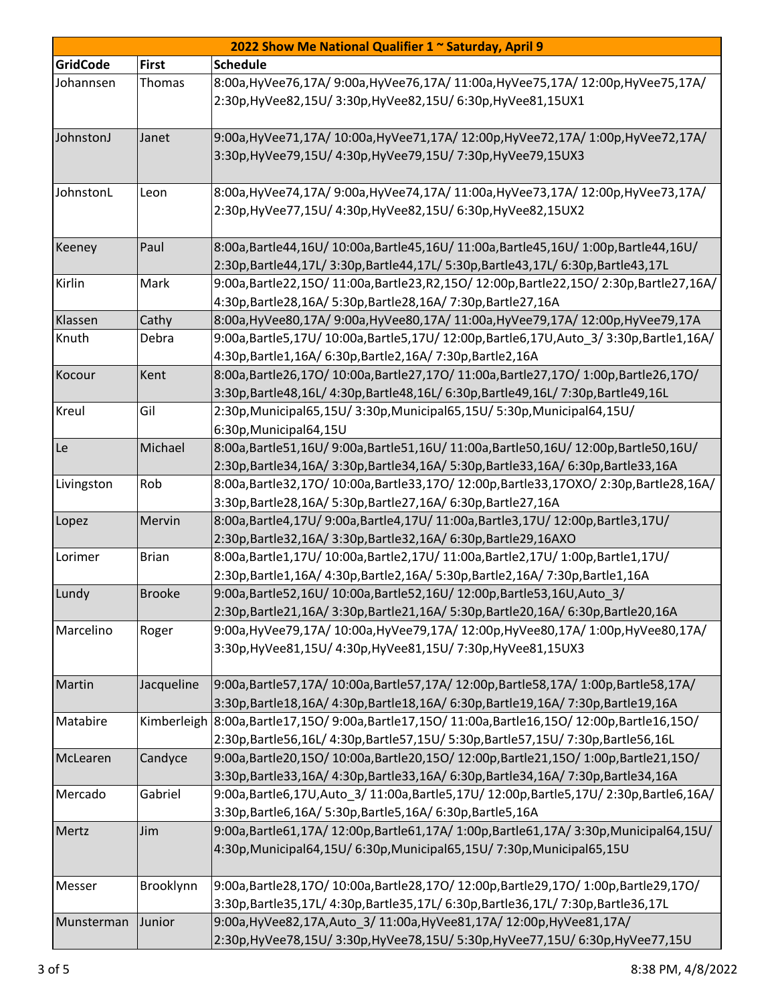| 2022 Show Me National Qualifier 1 ~ Saturday, April 9 |               |                                                                                                       |  |  |
|-------------------------------------------------------|---------------|-------------------------------------------------------------------------------------------------------|--|--|
| <b>GridCode</b>                                       | <b>First</b>  | <b>Schedule</b>                                                                                       |  |  |
| Johannsen                                             | <b>Thomas</b> | 8:00a, HyVee76,17A/ 9:00a, HyVee76,17A/ 11:00a, HyVee75,17A/ 12:00p, HyVee75,17A/                     |  |  |
|                                                       |               | 2:30p, HyVee82, 15U/ 3:30p, HyVee82, 15U/ 6:30p, HyVee81, 15UX1                                       |  |  |
|                                                       |               |                                                                                                       |  |  |
| JohnstonJ                                             | Janet         | 9:00a, HyVee71,17A/ 10:00a, HyVee71,17A/ 12:00p, HyVee72,17A/ 1:00p, HyVee72,17A/                     |  |  |
|                                                       |               | 3:30p, HyVee 79, 15U/ 4:30p, HyVee 79, 15U/ 7:30p, HyVee 79, 15UX3                                    |  |  |
|                                                       |               |                                                                                                       |  |  |
| JohnstonL                                             | Leon          | 8:00a, HyVee74, 17A/ 9:00a, HyVee74, 17A/ 11:00a, HyVee73, 17A/ 12:00p, HyVee73, 17A/                 |  |  |
|                                                       |               | 2:30p, HyVee 77, 15U/ 4:30p, HyVee 82, 15U/ 6:30p, HyVee 82, 15UX2                                    |  |  |
|                                                       |               |                                                                                                       |  |  |
| Keeney                                                | Paul          | 8:00a,Bartle44,16U/10:00a,Bartle45,16U/11:00a,Bartle45,16U/1:00p,Bartle44,16U/                        |  |  |
|                                                       |               | 2:30p,Bartle44,17L/3:30p,Bartle44,17L/5:30p,Bartle43,17L/6:30p,Bartle43,17L                           |  |  |
| Kirlin                                                | Mark          | 9:00a,Bartle22,15O/11:00a,Bartle23,R2,15O/12:00p,Bartle22,15O/2:30p,Bartle27,16A/                     |  |  |
|                                                       |               | 4:30p,Bartle28,16A/ 5:30p,Bartle28,16A/ 7:30p,Bartle27,16A                                            |  |  |
| Klassen                                               | Cathy         | 8:00a, HyVee80, 17A/ 9:00a, HyVee80, 17A/ 11:00a, HyVee79, 17A/ 12:00p, HyVee79, 17A                  |  |  |
| Knuth                                                 | Debra         | 9:00a,Bartle5,17U/ 10:00a,Bartle5,17U/ 12:00p,Bartle6,17U,Auto_3/ 3:30p,Bartle1,16A/                  |  |  |
|                                                       |               | 4:30p,Bartle1,16A/ 6:30p,Bartle2,16A/ 7:30p,Bartle2,16A                                               |  |  |
| Kocour                                                | Kent          | 8:00a,Bartle26,17O/10:00a,Bartle27,17O/11:00a,Bartle27,17O/1:00p,Bartle26,17O/                        |  |  |
|                                                       |               | 3:30p,Bartle48,16L/4:30p,Bartle48,16L/6:30p,Bartle49,16L/7:30p,Bartle49,16L                           |  |  |
| <b>Kreul</b>                                          | Gil           | 2:30p, Municipal 65, 15U / 3:30p, Municipal 65, 15U / 5:30p, Municipal 64, 15U /                      |  |  |
|                                                       |               | 6:30p, Municipal64, 15U                                                                               |  |  |
| Le                                                    | Michael       | 8:00a,Bartle51,16U/9:00a,Bartle51,16U/11:00a,Bartle50,16U/12:00p,Bartle50,16U/                        |  |  |
|                                                       |               | 2:30p,Bartle34,16A/ 3:30p,Bartle34,16A/ 5:30p,Bartle33,16A/ 6:30p,Bartle33,16A                        |  |  |
| Livingston                                            | Rob           | 8:00a,Bartle32,17O/10:00a,Bartle33,17O/12:00p,Bartle33,17OXO/2:30p,Bartle28,16A/                      |  |  |
|                                                       |               | 3:30p, Bartle 28, 16A/ 5:30p, Bartle 27, 16A/ 6:30p, Bartle 27, 16A                                   |  |  |
| Lopez                                                 | Mervin        | 8:00a,Bartle4,17U/9:00a,Bartle4,17U/11:00a,Bartle3,17U/12:00p,Bartle3,17U/                            |  |  |
|                                                       |               | 2:30p, Bartle 32, 16A/ 3:30p, Bartle 32, 16A/ 6:30p, Bartle 29, 16AXO                                 |  |  |
| Lorimer                                               | <b>Brian</b>  | 8:00a, Bartle1,17U/10:00a, Bartle2,17U/11:00a, Bartle2,17U/1:00p, Bartle1,17U/                        |  |  |
|                                                       |               | 2:30p,Bartle1,16A/ 4:30p,Bartle2,16A/ 5:30p,Bartle2,16A/ 7:30p,Bartle1,16A                            |  |  |
| Lundy                                                 | <b>Brooke</b> | 9:00a, Bartle52, 16U/ 10:00a, Bartle52, 16U/ 12:00p, Bartle53, 16U, Auto_3/                           |  |  |
|                                                       |               | 2:30p,Bartle21,16A/3:30p,Bartle21,16A/5:30p,Bartle20,16A/6:30p,Bartle20,16A                           |  |  |
| Marcelino                                             | Roger         | 9:00a, HyVee79,17A/10:00a, HyVee79,17A/12:00p, HyVee80,17A/1:00p, HyVee80,17A/                        |  |  |
|                                                       |               | 3:30p, HyVee81, 15U/ 4:30p, HyVee81, 15U/ 7:30p, HyVee81, 15UX3                                       |  |  |
|                                                       |               |                                                                                                       |  |  |
| Martin                                                | Jacqueline    | 9:00a,Bartle57,17A/10:00a,Bartle57,17A/12:00p,Bartle58,17A/1:00p,Bartle58,17A/                        |  |  |
|                                                       |               | 3:30p,Bartle18,16A/ 4:30p,Bartle18,16A/ 6:30p,Bartle19,16A/ 7:30p,Bartle19,16A                        |  |  |
| Matabire                                              |               | Kimberleigh 8:00a, Bartle17,15O / 9:00a, Bartle17,15O / 11:00a, Bartle16,15O / 12:00p, Bartle16,15O / |  |  |
|                                                       |               | 2:30p,Bartle56,16L/4:30p,Bartle57,15U/5:30p,Bartle57,15U/7:30p,Bartle56,16L                           |  |  |
| McLearen                                              | Candyce       | 9:00a,Bartle20,15O/10:00a,Bartle20,15O/12:00p,Bartle21,15O/1:00p,Bartle21,15O/                        |  |  |
|                                                       |               | 3:30p,Bartle33,16A/ 4:30p,Bartle33,16A/ 6:30p,Bartle34,16A/ 7:30p,Bartle34,16A                        |  |  |
| Mercado                                               | Gabriel       | 9:00a,Bartle6,17U,Auto_3/11:00a,Bartle5,17U/12:00p,Bartle5,17U/2:30p,Bartle6,16A/                     |  |  |
|                                                       |               | 3:30p, Bartle6, 16A/ 5:30p, Bartle5, 16A/ 6:30p, Bartle5, 16A                                         |  |  |
| Mertz                                                 | Jim           | 9:00a,Bartle61,17A/12:00p,Bartle61,17A/1:00p,Bartle61,17A/3:30p,Municipal64,15U/                      |  |  |
|                                                       |               | 4:30p, Municipal64, 15U / 6:30p, Municipal65, 15U / 7:30p, Municipal65, 15U                           |  |  |
| Messer                                                | Brooklynn     | 9:00a,Bartle28,17O/10:00a,Bartle28,17O/12:00p,Bartle29,17O/1:00p,Bartle29,17O/                        |  |  |
|                                                       |               | 3:30p,Bartle35,17L/ 4:30p,Bartle35,17L/ 6:30p,Bartle36,17L/ 7:30p,Bartle36,17L                        |  |  |
| Munsterman                                            | Junior        | 9:00a, HyVee82, 17A, Auto_3/ 11:00a, HyVee81, 17A/ 12:00p, HyVee81, 17A/                              |  |  |
|                                                       |               | 2:30p, HyVee78, 15U/ 3:30p, HyVee78, 15U/ 5:30p, HyVee77, 15U/ 6:30p, HyVee77, 15U                    |  |  |
|                                                       |               |                                                                                                       |  |  |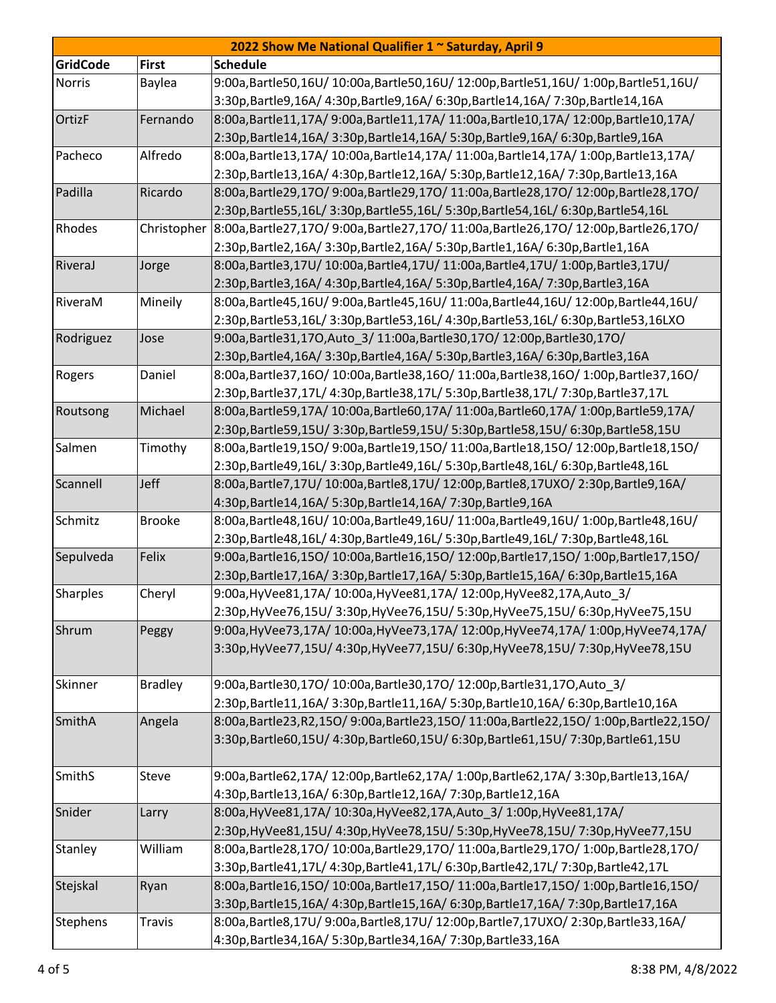| 2022 Show Me National Qualifier 1 ~ Saturday, April 9 |                |                                                                                                |  |  |
|-------------------------------------------------------|----------------|------------------------------------------------------------------------------------------------|--|--|
| <b>GridCode</b>                                       | <b>First</b>   | <b>Schedule</b>                                                                                |  |  |
| <b>Norris</b>                                         | Baylea         | 9:00a,Bartle50,16U/10:00a,Bartle50,16U/12:00p,Bartle51,16U/1:00p,Bartle51,16U/                 |  |  |
|                                                       |                | 3:30p,Bartle9,16A/ 4:30p,Bartle9,16A/ 6:30p,Bartle14,16A/ 7:30p,Bartle14,16A                   |  |  |
| OrtizF                                                | Fernando       | 8:00a,Bartle11,17A/9:00a,Bartle11,17A/11:00a,Bartle10,17A/12:00p,Bartle10,17A/                 |  |  |
|                                                       |                | 2:30p,Bartle14,16A/ 3:30p,Bartle14,16A/ 5:30p,Bartle9,16A/ 6:30p,Bartle9,16A                   |  |  |
| Pacheco                                               | Alfredo        | 8:00a,Bartle13,17A/10:00a,Bartle14,17A/11:00a,Bartle14,17A/1:00p,Bartle13,17A/                 |  |  |
|                                                       |                | 2:30p,Bartle13,16A/ 4:30p,Bartle12,16A/ 5:30p,Bartle12,16A/ 7:30p,Bartle13,16A                 |  |  |
| Padilla                                               | Ricardo        | 8:00a,Bartle29,17O/9:00a,Bartle29,17O/11:00a,Bartle28,17O/12:00p,Bartle28,17O/                 |  |  |
|                                                       |                | 2:30p,Bartle55,16L/3:30p,Bartle55,16L/5:30p,Bartle54,16L/6:30p,Bartle54,16L                    |  |  |
| Rhodes                                                |                | Christopher 8:00a, Bartle27,170/9:00a, Bartle27,170/11:00a, Bartle26,170/12:00p, Bartle26,170/ |  |  |
|                                                       |                | 2:30p,Bartle2,16A/ 3:30p,Bartle2,16A/ 5:30p,Bartle1,16A/ 6:30p,Bartle1,16A                     |  |  |
| RiveraJ                                               | Jorge          | 8:00a,Bartle3,17U/10:00a,Bartle4,17U/11:00a,Bartle4,17U/1:00p,Bartle3,17U/                     |  |  |
|                                                       |                | 2:30p,Bartle3,16A/ 4:30p,Bartle4,16A/ 5:30p,Bartle4,16A/ 7:30p,Bartle3,16A                     |  |  |
| RiveraM                                               | Mineily        | 8:00a,Bartle45,16U/9:00a,Bartle45,16U/11:00a,Bartle44,16U/12:00p,Bartle44,16U/                 |  |  |
|                                                       |                | 2:30p,Bartle53,16L/3:30p,Bartle53,16L/4:30p,Bartle53,16L/6:30p,Bartle53,16LXO                  |  |  |
| Rodriguez                                             | Jose           | 9:00a, Bartle 31, 170, Auto_3/ 11:00a, Bartle 30, 170/ 12:00p, Bartle 30, 170/                 |  |  |
|                                                       |                | 2:30p,Bartle4,16A/ 3:30p,Bartle4,16A/ 5:30p,Bartle3,16A/ 6:30p,Bartle3,16A                     |  |  |
| Rogers                                                | Daniel         | 8:00a,Bartle37,16O/10:00a,Bartle38,16O/11:00a,Bartle38,16O/1:00p,Bartle37,16O/                 |  |  |
|                                                       |                | 2:30p,Bartle37,17L/ 4:30p,Bartle38,17L/ 5:30p,Bartle38,17L/ 7:30p,Bartle37,17L                 |  |  |
| Routsong                                              | Michael        | 8:00a,Bartle59,17A/ 10:00a,Bartle60,17A/ 11:00a,Bartle60,17A/ 1:00p,Bartle59,17A/              |  |  |
|                                                       |                | 2:30p,Bartle59,15U/3:30p,Bartle59,15U/5:30p,Bartle58,15U/6:30p,Bartle58,15U                    |  |  |
| Salmen                                                | Timothy        | 8:00a,Bartle19,15O/9:00a,Bartle19,15O/11:00a,Bartle18,15O/12:00p,Bartle18,15O/                 |  |  |
|                                                       |                | 2:30p,Bartle49,16L/3:30p,Bartle49,16L/5:30p,Bartle48,16L/6:30p,Bartle48,16L                    |  |  |
| Scannell                                              | Jeff           | 8:00a,Bartle7,17U/10:00a,Bartle8,17U/12:00p,Bartle8,17UXO/2:30p,Bartle9,16A/                   |  |  |
|                                                       |                | 4:30p,Bartle14,16A/ 5:30p,Bartle14,16A/ 7:30p,Bartle9,16A                                      |  |  |
| Schmitz                                               | <b>Brooke</b>  | 8:00a,Bartle48,16U/10:00a,Bartle49,16U/11:00a,Bartle49,16U/1:00p,Bartle48,16U/                 |  |  |
|                                                       |                | 2:30p,Bartle48,16L/4:30p,Bartle49,16L/5:30p,Bartle49,16L/7:30p,Bartle48,16L                    |  |  |
| Sepulveda                                             | Felix          | 9:00a,Bartle16,15O/10:00a,Bartle16,15O/12:00p,Bartle17,15O/1:00p,Bartle17,15O/                 |  |  |
|                                                       |                | 2:30p,Bartle17,16A/3:30p,Bartle17,16A/5:30p,Bartle15,16A/6:30p,Bartle15,16A                    |  |  |
| Sharples                                              | Cheryl         | 9:00a, HyVee81, 17A/ 10:00a, HyVee81, 17A/ 12:00p, HyVee82, 17A, Auto_3/                       |  |  |
|                                                       |                | 2:30p,HyVee76,15U/ 3:30p,HyVee76,15U/ 5:30p,HyVee75,15U/ 6:30p,HyVee75,15U                     |  |  |
| Shrum                                                 | Peggy          | 9:00a, HyVee73,17A/10:00a, HyVee73,17A/12:00p, HyVee74,17A/1:00p, HyVee74,17A/                 |  |  |
|                                                       |                | 3:30p, HyVee77, 15U/ 4:30p, HyVee77, 15U/ 6:30p, HyVee78, 15U/ 7:30p, HyVee78, 15U             |  |  |
|                                                       |                |                                                                                                |  |  |
| Skinner                                               | <b>Bradley</b> | 9:00a, Bartle 30, 170/10:00a, Bartle 30, 170/12:00p, Bartle 31, 170, Auto 3/                   |  |  |
|                                                       |                | 2:30p,Bartle11,16A/3:30p,Bartle11,16A/5:30p,Bartle10,16A/6:30p,Bartle10,16A                    |  |  |
| SmithA                                                | Angela         | 8:00a,Bartle23,R2,15O/9:00a,Bartle23,15O/11:00a,Bartle22,15O/1:00p,Bartle22,15O/               |  |  |
|                                                       |                | 3:30p,Bartle60,15U/4:30p,Bartle60,15U/6:30p,Bartle61,15U/7:30p,Bartle61,15U                    |  |  |
| SmithS                                                | Steve          | 9:00a,Bartle62,17A/12:00p,Bartle62,17A/1:00p,Bartle62,17A/3:30p,Bartle13,16A/                  |  |  |
|                                                       |                | 4:30p,Bartle13,16A/ 6:30p,Bartle12,16A/ 7:30p,Bartle12,16A                                     |  |  |
| Snider                                                | Larry          | 8:00a, HyVee81, 17A/ 10:30a, HyVee82, 17A, Auto_3/ 1:00p, HyVee81, 17A/                        |  |  |
|                                                       |                | 2:30p,HyVee81,15U/ 4:30p,HyVee78,15U/ 5:30p,HyVee78,15U/ 7:30p,HyVee77,15U                     |  |  |
| Stanley                                               | William        | 8:00a,Bartle28,17O/10:00a,Bartle29,17O/11:00a,Bartle29,17O/1:00p,Bartle28,17O/                 |  |  |
|                                                       |                | 3:30p,Bartle41,17L/ 4:30p,Bartle41,17L/ 6:30p,Bartle42,17L/ 7:30p,Bartle42,17L                 |  |  |
| Stejskal                                              | Ryan           | 8:00a,Bartle16,15O/10:00a,Bartle17,15O/11:00a,Bartle17,15O/1:00p,Bartle16,15O/                 |  |  |
|                                                       |                | 3:30p,Bartle15,16A/ 4:30p,Bartle15,16A/ 6:30p,Bartle17,16A/ 7:30p,Bartle17,16A                 |  |  |
| Stephens                                              | <b>Travis</b>  | 8:00a,Bartle8,17U/9:00a,Bartle8,17U/12:00p,Bartle7,17UXO/2:30p,Bartle33,16A/                   |  |  |
|                                                       |                | 4:30p, Bartle 34, 16A/ 5:30p, Bartle 34, 16A/ 7:30p, Bartle 33, 16A                            |  |  |
|                                                       |                |                                                                                                |  |  |